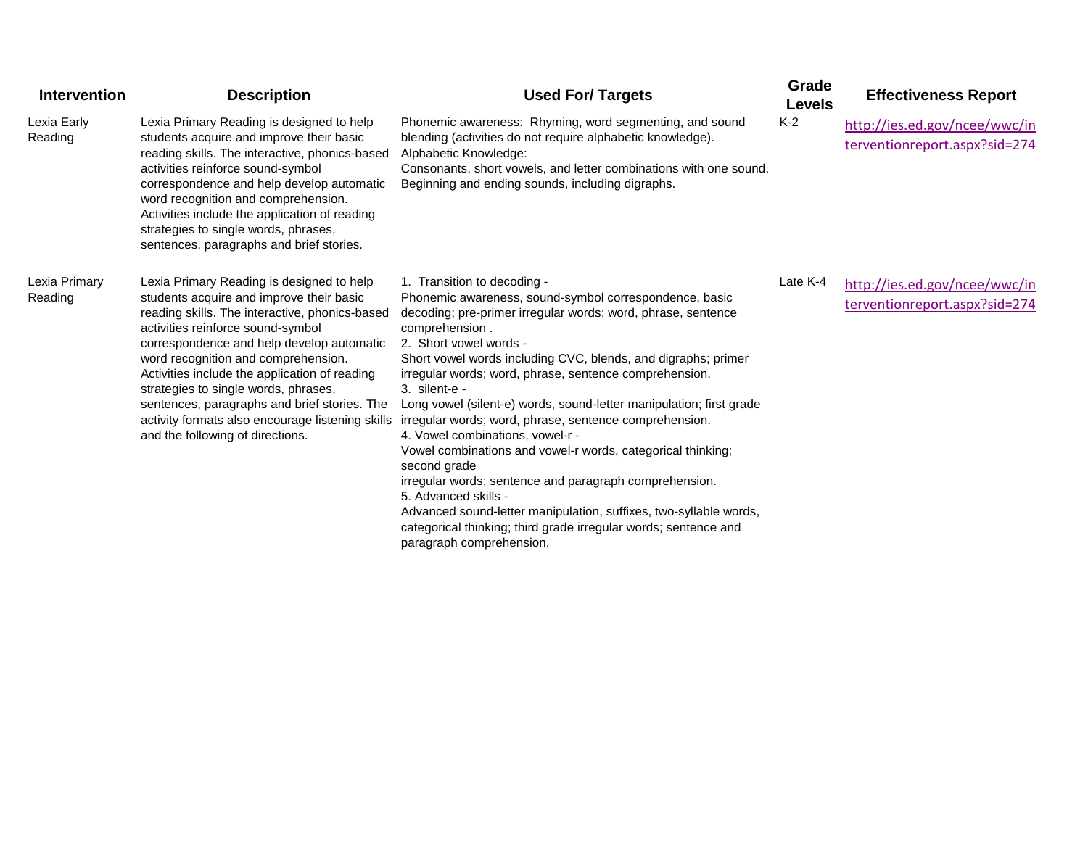| <b>Intervention</b>      | <b>Description</b>                                                                                                                                                                                                                                                                                                                                                                                                                                                                                | <b>Used For/ Targets</b>                                                                                                                                                                                                                                                                                                                                                                                                                                                                                                                                                                                                                                                                                                                                                                                                                                  | Grade<br><b>Levels</b> | <b>Effectiveness Report</b>                                    |
|--------------------------|---------------------------------------------------------------------------------------------------------------------------------------------------------------------------------------------------------------------------------------------------------------------------------------------------------------------------------------------------------------------------------------------------------------------------------------------------------------------------------------------------|-----------------------------------------------------------------------------------------------------------------------------------------------------------------------------------------------------------------------------------------------------------------------------------------------------------------------------------------------------------------------------------------------------------------------------------------------------------------------------------------------------------------------------------------------------------------------------------------------------------------------------------------------------------------------------------------------------------------------------------------------------------------------------------------------------------------------------------------------------------|------------------------|----------------------------------------------------------------|
| Lexia Early<br>Reading   | Lexia Primary Reading is designed to help<br>students acquire and improve their basic<br>reading skills. The interactive, phonics-based<br>activities reinforce sound-symbol<br>correspondence and help develop automatic<br>word recognition and comprehension.<br>Activities include the application of reading<br>strategies to single words, phrases,<br>sentences, paragraphs and brief stories.                                                                                             | Phonemic awareness: Rhyming, word segmenting, and sound<br>blending (activities do not require alphabetic knowledge).<br>Alphabetic Knowledge:<br>Consonants, short vowels, and letter combinations with one sound.<br>Beginning and ending sounds, including digraphs.                                                                                                                                                                                                                                                                                                                                                                                                                                                                                                                                                                                   | $K-2$                  | http://ies.ed.gov/ncee/wwc/in<br>terventionreport.aspx?sid=274 |
| Lexia Primary<br>Reading | Lexia Primary Reading is designed to help<br>students acquire and improve their basic<br>reading skills. The interactive, phonics-based<br>activities reinforce sound-symbol<br>correspondence and help develop automatic<br>word recognition and comprehension.<br>Activities include the application of reading<br>strategies to single words, phrases,<br>sentences, paragraphs and brief stories. The<br>activity formats also encourage listening skills<br>and the following of directions. | 1. Transition to decoding -<br>Phonemic awareness, sound-symbol correspondence, basic<br>decoding; pre-primer irregular words; word, phrase, sentence<br>comprehension.<br>2. Short vowel words -<br>Short vowel words including CVC, blends, and digraphs; primer<br>irregular words; word, phrase, sentence comprehension.<br>$3.$ silent-e -<br>Long vowel (silent-e) words, sound-letter manipulation; first grade<br>irregular words; word, phrase, sentence comprehension.<br>4. Vowel combinations, vowel-r -<br>Vowel combinations and vowel-r words, categorical thinking;<br>second grade<br>irregular words; sentence and paragraph comprehension.<br>5. Advanced skills -<br>Advanced sound-letter manipulation, suffixes, two-syllable words,<br>categorical thinking; third grade irregular words; sentence and<br>paragraph comprehension. | Late K-4               | http://ies.ed.gov/ncee/wwc/in<br>terventionreport.aspx?sid=274 |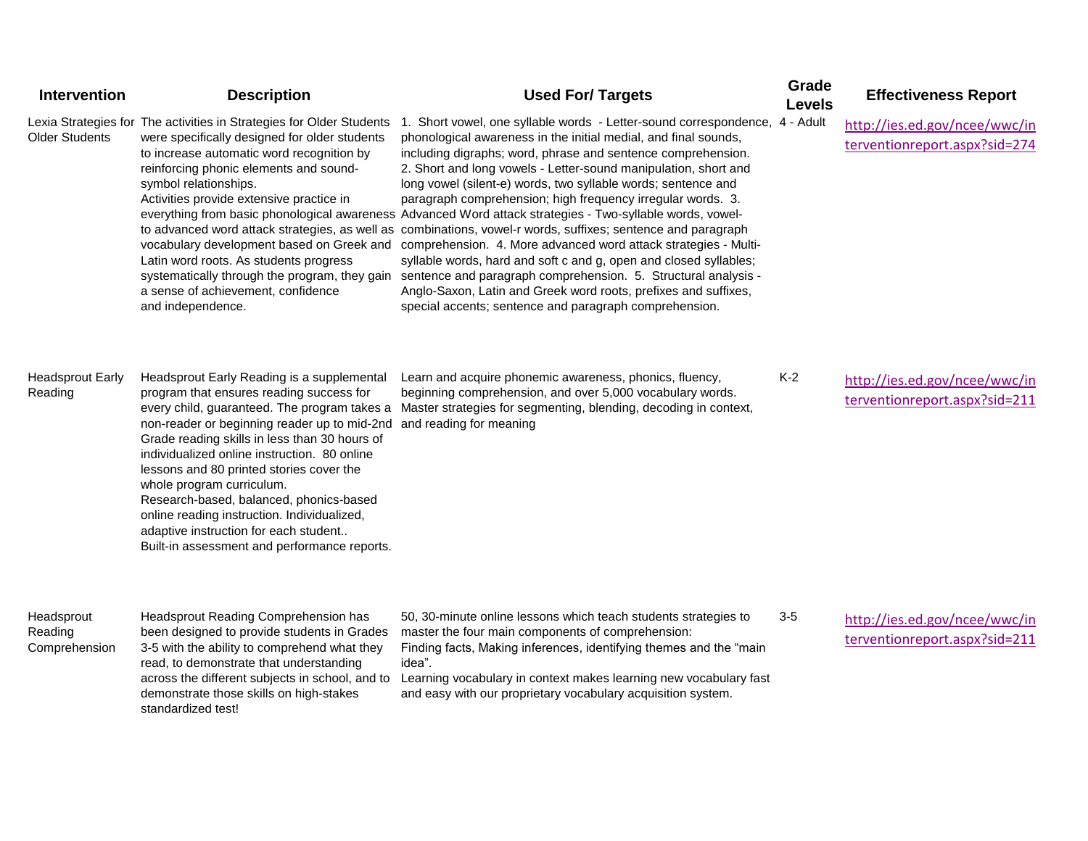| Intervention                           | <b>Description</b>                                                                                                                                                                                                                                                                                                                                                                                                                                                                                                                                  | <b>Used For/ Targets</b>                                                                                                                                                                                                                                                                                                                                                                                                                                                                                                                                                                                                                                                                                                                                                                                                                                                                                                                                                                                                        | Grade<br><b>Levels</b> | <b>Effectiveness Report</b>                                    |
|----------------------------------------|-----------------------------------------------------------------------------------------------------------------------------------------------------------------------------------------------------------------------------------------------------------------------------------------------------------------------------------------------------------------------------------------------------------------------------------------------------------------------------------------------------------------------------------------------------|---------------------------------------------------------------------------------------------------------------------------------------------------------------------------------------------------------------------------------------------------------------------------------------------------------------------------------------------------------------------------------------------------------------------------------------------------------------------------------------------------------------------------------------------------------------------------------------------------------------------------------------------------------------------------------------------------------------------------------------------------------------------------------------------------------------------------------------------------------------------------------------------------------------------------------------------------------------------------------------------------------------------------------|------------------------|----------------------------------------------------------------|
| <b>Older Students</b>                  | Lexia Strategies for The activities in Strategies for Older Students<br>were specifically designed for older students<br>to increase automatic word recognition by<br>reinforcing phonic elements and sound-<br>symbol relationships.<br>Activities provide extensive practice in<br>Latin word roots. As students progress<br>systematically through the program, they gain<br>a sense of achievement, confidence<br>and independence.                                                                                                             | 1. Short vowel, one syllable words - Letter-sound correspondence, 4 - Adult<br>phonological awareness in the initial medial, and final sounds,<br>including digraphs; word, phrase and sentence comprehension.<br>2. Short and long vowels - Letter-sound manipulation, short and<br>long vowel (silent-e) words, two syllable words; sentence and<br>paragraph comprehension; high frequency irregular words. 3.<br>everything from basic phonological awareness Advanced Word attack strategies - Two-syllable words, vowel-<br>to advanced word attack strategies, as well as combinations, vowel-r words, suffixes; sentence and paragraph<br>vocabulary development based on Greek and comprehension. 4. More advanced word attack strategies - Multi-<br>syllable words, hard and soft c and g, open and closed syllables;<br>sentence and paragraph comprehension. 5. Structural analysis -<br>Anglo-Saxon, Latin and Greek word roots, prefixes and suffixes,<br>special accents; sentence and paragraph comprehension. |                        | http://ies.ed.gov/ncee/wwc/in<br>terventionreport.aspx?sid=274 |
| <b>Headsprout Early</b><br>Reading     | Headsprout Early Reading is a supplemental<br>program that ensures reading success for<br>every child, guaranteed. The program takes a<br>non-reader or beginning reader up to mid-2nd<br>Grade reading skills in less than 30 hours of<br>individualized online instruction. 80 online<br>lessons and 80 printed stories cover the<br>whole program curriculum.<br>Research-based, balanced, phonics-based<br>online reading instruction. Individualized,<br>adaptive instruction for each student<br>Built-in assessment and performance reports. | Learn and acquire phonemic awareness, phonics, fluency,<br>beginning comprehension, and over 5,000 vocabulary words.<br>Master strategies for segmenting, blending, decoding in context,<br>and reading for meaning                                                                                                                                                                                                                                                                                                                                                                                                                                                                                                                                                                                                                                                                                                                                                                                                             | $K-2$                  | http://ies.ed.gov/ncee/wwc/in<br>terventionreport.aspx?sid=211 |
| Headsprout<br>Reading<br>Comprehension | Headsprout Reading Comprehension has<br>been designed to provide students in Grades<br>3-5 with the ability to comprehend what they<br>read, to demonstrate that understanding<br>across the different subjects in school, and to<br>demonstrate those skills on high-stakes<br>standardized test!                                                                                                                                                                                                                                                  | 50, 30-minute online lessons which teach students strategies to<br>master the four main components of comprehension:<br>Finding facts, Making inferences, identifying themes and the "main<br>idea".<br>Learning vocabulary in context makes learning new vocabulary fast<br>and easy with our proprietary vocabulary acquisition system.                                                                                                                                                                                                                                                                                                                                                                                                                                                                                                                                                                                                                                                                                       | $3-5$                  | http://ies.ed.gov/ncee/wwc/in<br>terventionreport.aspx?sid=211 |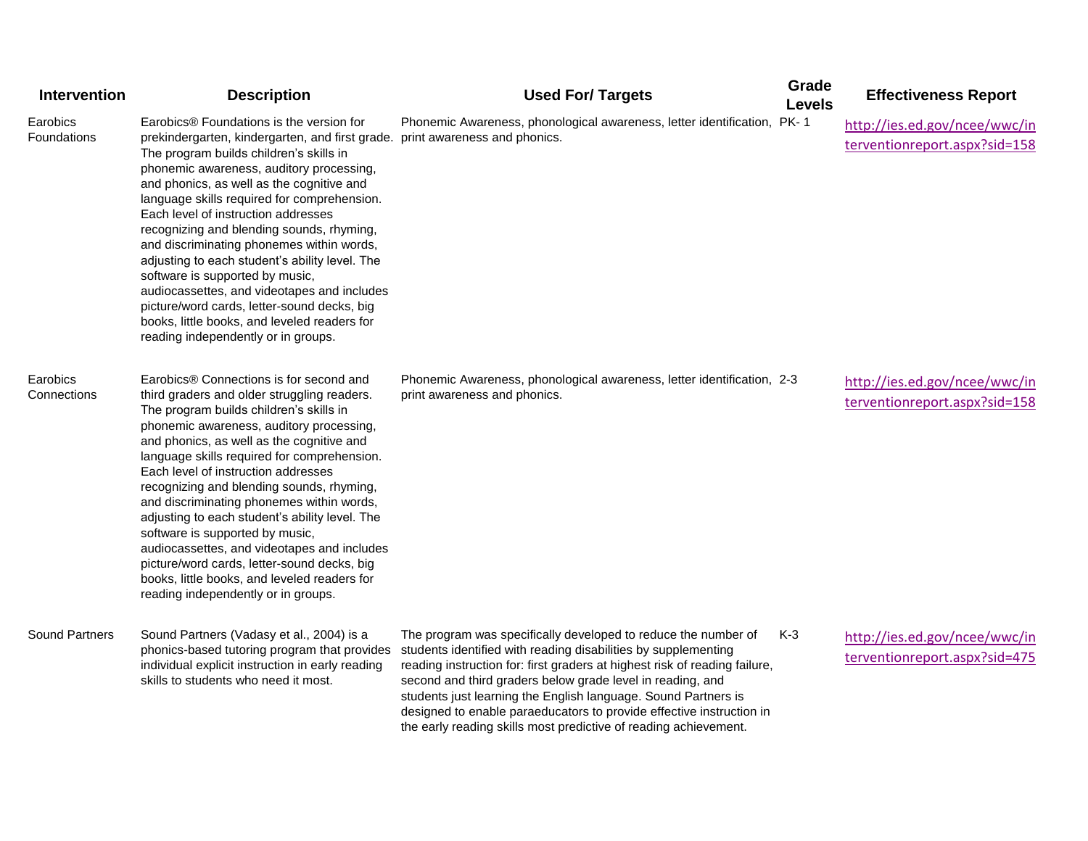| Intervention            | <b>Description</b>                                                                                                                                                                                                                                                                                                                                                                                                                                                                                                                                                                                                                                                                                                     | <b>Used For/ Targets</b>                                                                                                                                                                                                                                                                                                                                                                                                                                                                                                                | Grade<br><b>Levels</b> | <b>Effectiveness Report</b>                                    |
|-------------------------|------------------------------------------------------------------------------------------------------------------------------------------------------------------------------------------------------------------------------------------------------------------------------------------------------------------------------------------------------------------------------------------------------------------------------------------------------------------------------------------------------------------------------------------------------------------------------------------------------------------------------------------------------------------------------------------------------------------------|-----------------------------------------------------------------------------------------------------------------------------------------------------------------------------------------------------------------------------------------------------------------------------------------------------------------------------------------------------------------------------------------------------------------------------------------------------------------------------------------------------------------------------------------|------------------------|----------------------------------------------------------------|
| Earobics<br>Foundations | Earobics® Foundations is the version for<br>prekindergarten, kindergarten, and first grade. print awareness and phonics.<br>The program builds children's skills in<br>phonemic awareness, auditory processing,<br>and phonics, as well as the cognitive and<br>language skills required for comprehension.<br>Each level of instruction addresses<br>recognizing and blending sounds, rhyming,<br>and discriminating phonemes within words,<br>adjusting to each student's ability level. The<br>software is supported by music,<br>audiocassettes, and videotapes and includes<br>picture/word cards, letter-sound decks, big<br>books, little books, and leveled readers for<br>reading independently or in groups. | Phonemic Awareness, phonological awareness, letter identification, PK-1                                                                                                                                                                                                                                                                                                                                                                                                                                                                 |                        | http://ies.ed.gov/ncee/wwc/in<br>terventionreport.aspx?sid=158 |
| Earobics<br>Connections | Earobics® Connections is for second and<br>third graders and older struggling readers.<br>The program builds children's skills in<br>phonemic awareness, auditory processing,<br>and phonics, as well as the cognitive and<br>language skills required for comprehension.<br>Each level of instruction addresses<br>recognizing and blending sounds, rhyming,<br>and discriminating phonemes within words,<br>adjusting to each student's ability level. The<br>software is supported by music,<br>audiocassettes, and videotapes and includes<br>picture/word cards, letter-sound decks, big<br>books, little books, and leveled readers for<br>reading independently or in groups.                                   | Phonemic Awareness, phonological awareness, letter identification, 2-3<br>print awareness and phonics.                                                                                                                                                                                                                                                                                                                                                                                                                                  |                        | http://ies.ed.gov/ncee/wwc/in<br>terventionreport.aspx?sid=158 |
| Sound Partners          | Sound Partners (Vadasy et al., 2004) is a<br>individual explicit instruction in early reading<br>skills to students who need it most.                                                                                                                                                                                                                                                                                                                                                                                                                                                                                                                                                                                  | The program was specifically developed to reduce the number of<br>phonics-based tutoring program that provides students identified with reading disabilities by supplementing<br>reading instruction for: first graders at highest risk of reading failure,<br>second and third graders below grade level in reading, and<br>students just learning the English language. Sound Partners is<br>designed to enable paraeducators to provide effective instruction in<br>the early reading skills most predictive of reading achievement. | $K-3$                  | http://ies.ed.gov/ncee/wwc/in<br>terventionreport.aspx?sid=475 |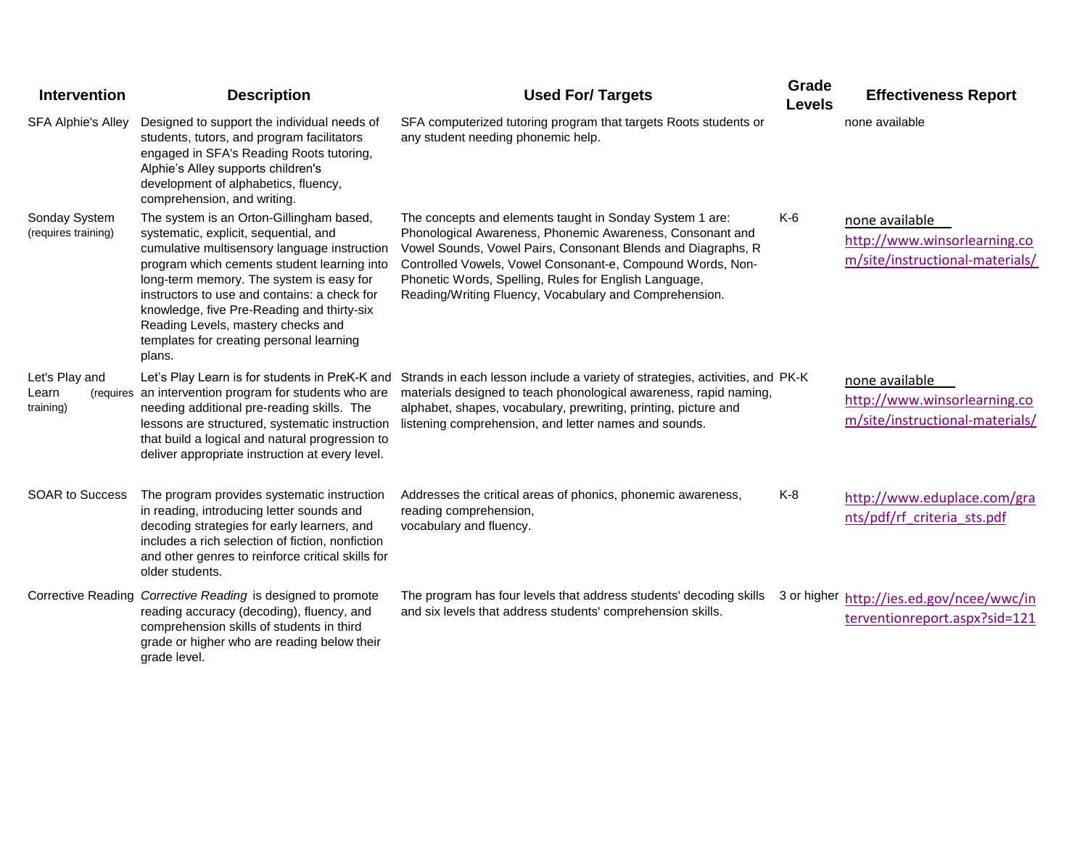| <b>Intervention</b>                  | <b>Description</b>                                                                                                                                                                                                                                                                                                                                                                                                     | <b>Used For/ Targets</b>                                                                                                                                                                                                                                                                                                                                               | Grade<br><b>Levels</b> | <b>Effectiveness Report</b>                                                       |
|--------------------------------------|------------------------------------------------------------------------------------------------------------------------------------------------------------------------------------------------------------------------------------------------------------------------------------------------------------------------------------------------------------------------------------------------------------------------|------------------------------------------------------------------------------------------------------------------------------------------------------------------------------------------------------------------------------------------------------------------------------------------------------------------------------------------------------------------------|------------------------|-----------------------------------------------------------------------------------|
| <b>SFA Alphie's Alley</b>            | Designed to support the individual needs of<br>students, tutors, and program facilitators<br>engaged in SFA's Reading Roots tutoring,<br>Alphie's Alley supports children's<br>development of alphabetics, fluency,<br>comprehension, and writing.                                                                                                                                                                     | SFA computerized tutoring program that targets Roots students or<br>any student needing phonemic help.                                                                                                                                                                                                                                                                 |                        | none available                                                                    |
| Sonday System<br>(requires training) | The system is an Orton-Gillingham based,<br>systematic, explicit, sequential, and<br>cumulative multisensory language instruction<br>program which cements student learning into<br>long-term memory. The system is easy for<br>instructors to use and contains: a check for<br>knowledge, five Pre-Reading and thirty-six<br>Reading Levels, mastery checks and<br>templates for creating personal learning<br>plans. | The concepts and elements taught in Sonday System 1 are:<br>Phonological Awareness, Phonemic Awareness, Consonant and<br>Vowel Sounds, Vowel Pairs, Consonant Blends and Diagraphs, R<br>Controlled Vowels, Vowel Consonant-e, Compound Words, Non-<br>Phonetic Words, Spelling, Rules for English Language,<br>Reading/Writing Fluency, Vocabulary and Comprehension. | $K-6$                  | none available<br>http://www.winsorlearning.co<br>m/site/instructional-materials/ |
| Let's Play and<br>Learn<br>training) | (requires an intervention program for students who are<br>needing additional pre-reading skills. The<br>lessons are structured, systematic instruction<br>that build a logical and natural progression to<br>deliver appropriate instruction at every level.                                                                                                                                                           | Let's Play Learn is for students in PreK-K and Strands in each lesson include a variety of strategies, activities, and PK-K<br>materials designed to teach phonological awareness, rapid naming,<br>alphabet, shapes, vocabulary, prewriting, printing, picture and<br>listening comprehension, and letter names and sounds.                                           |                        | none available<br>http://www.winsorlearning.co<br>m/site/instructional-materials/ |
| <b>SOAR to Success</b>               | The program provides systematic instruction<br>in reading, introducing letter sounds and<br>decoding strategies for early learners, and<br>includes a rich selection of fiction, nonfiction<br>and other genres to reinforce critical skills for<br>older students.                                                                                                                                                    | Addresses the critical areas of phonics, phonemic awareness,<br>reading comprehension,<br>vocabulary and fluency.                                                                                                                                                                                                                                                      | K-8                    | http://www.eduplace.com/gra<br>nts/pdf/rf criteria sts.pdf                        |
|                                      | Corrective Reading Corrective Reading is designed to promote<br>reading accuracy (decoding), fluency, and<br>comprehension skills of students in third<br>grade or higher who are reading below their<br>grade level.                                                                                                                                                                                                  | The program has four levels that address students' decoding skills<br>and six levels that address students' comprehension skills.                                                                                                                                                                                                                                      |                        | 3 or higher http://ies.ed.gov/ncee/wwc/in<br>terventionreport.aspx?sid=121        |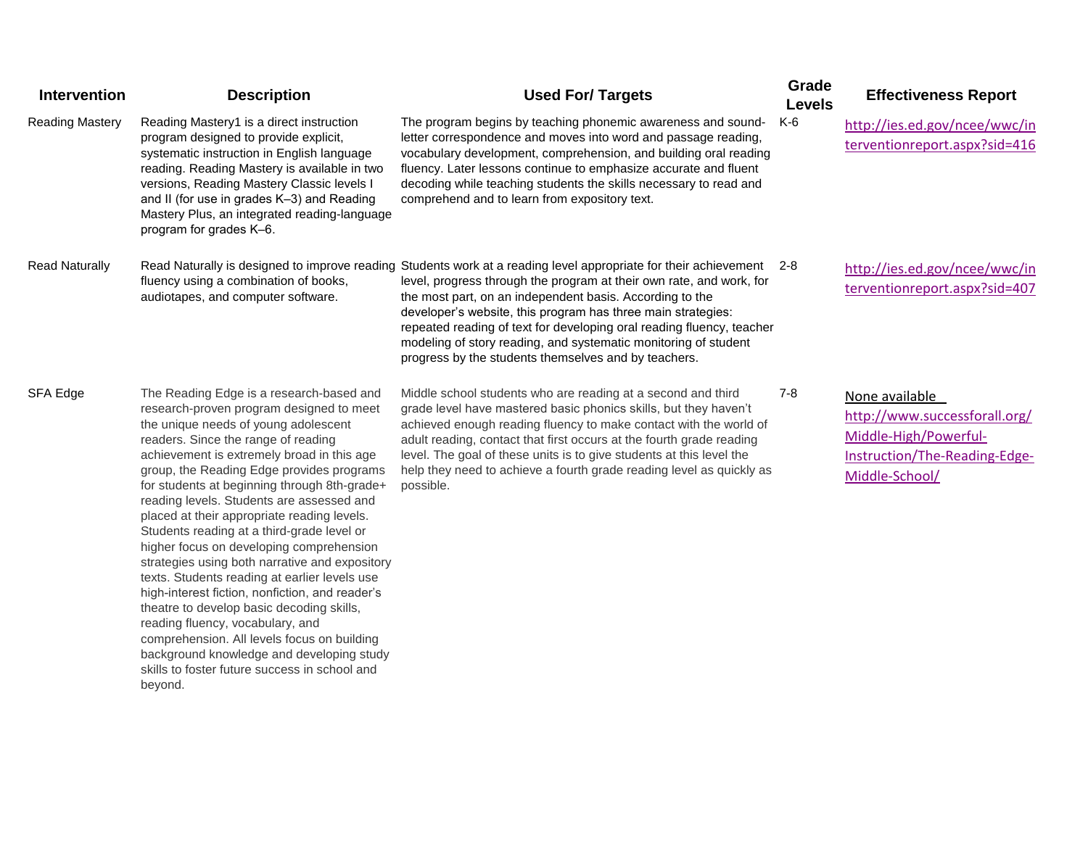| <b>Intervention</b>    | <b>Description</b>                                                                                                                                                                                                                                                                                                                                                                                                                                                                                                                                                                                                                                                                                                                                                                                                                                                                                  | <b>Used For/ Targets</b>                                                                                                                                                                                                                                                                                                                                                                                                                                                                                                     | Grade<br><b>Levels</b> | <b>Effectiveness Report</b>                                                                                                 |
|------------------------|-----------------------------------------------------------------------------------------------------------------------------------------------------------------------------------------------------------------------------------------------------------------------------------------------------------------------------------------------------------------------------------------------------------------------------------------------------------------------------------------------------------------------------------------------------------------------------------------------------------------------------------------------------------------------------------------------------------------------------------------------------------------------------------------------------------------------------------------------------------------------------------------------------|------------------------------------------------------------------------------------------------------------------------------------------------------------------------------------------------------------------------------------------------------------------------------------------------------------------------------------------------------------------------------------------------------------------------------------------------------------------------------------------------------------------------------|------------------------|-----------------------------------------------------------------------------------------------------------------------------|
| <b>Reading Mastery</b> | Reading Mastery1 is a direct instruction<br>program designed to provide explicit,<br>systematic instruction in English language<br>reading. Reading Mastery is available in two<br>versions, Reading Mastery Classic levels I<br>and II (for use in grades K-3) and Reading<br>Mastery Plus, an integrated reading-language<br>program for grades K-6.                                                                                                                                                                                                                                                                                                                                                                                                                                                                                                                                              | The program begins by teaching phonemic awareness and sound-<br>letter correspondence and moves into word and passage reading,<br>vocabulary development, comprehension, and building oral reading<br>fluency. Later lessons continue to emphasize accurate and fluent<br>decoding while teaching students the skills necessary to read and<br>comprehend and to learn from expository text.                                                                                                                                 | K-6                    | http://ies.ed.gov/ncee/wwc/in<br>terventionreport.aspx?sid=416                                                              |
| <b>Read Naturally</b>  | fluency using a combination of books,<br>audiotapes, and computer software.                                                                                                                                                                                                                                                                                                                                                                                                                                                                                                                                                                                                                                                                                                                                                                                                                         | Read Naturally is designed to improve reading Students work at a reading level appropriate for their achievement 2-8<br>level, progress through the program at their own rate, and work, for<br>the most part, on an independent basis. According to the<br>developer's website, this program has three main strategies:<br>repeated reading of text for developing oral reading fluency, teacher<br>modeling of story reading, and systematic monitoring of student<br>progress by the students themselves and by teachers. |                        | http://ies.ed.gov/ncee/wwc/in<br>terventionreport.aspx?sid=407                                                              |
| SFA Edge               | The Reading Edge is a research-based and<br>research-proven program designed to meet<br>the unique needs of young adolescent<br>readers. Since the range of reading<br>achievement is extremely broad in this age<br>group, the Reading Edge provides programs<br>for students at beginning through 8th-grade+<br>reading levels. Students are assessed and<br>placed at their appropriate reading levels.<br>Students reading at a third-grade level or<br>higher focus on developing comprehension<br>strategies using both narrative and expository<br>texts. Students reading at earlier levels use<br>high-interest fiction, nonfiction, and reader's<br>theatre to develop basic decoding skills,<br>reading fluency, vocabulary, and<br>comprehension. All levels focus on building<br>background knowledge and developing study<br>skills to foster future success in school and<br>beyond. | Middle school students who are reading at a second and third<br>grade level have mastered basic phonics skills, but they haven't<br>achieved enough reading fluency to make contact with the world of<br>adult reading, contact that first occurs at the fourth grade reading<br>level. The goal of these units is to give students at this level the<br>help they need to achieve a fourth grade reading level as quickly as<br>possible.                                                                                   | $7 - 8$                | None available<br>http://www.successforall.org/<br>Middle-High/Powerful-<br>Instruction/The-Reading-Edge-<br>Middle-School/ |